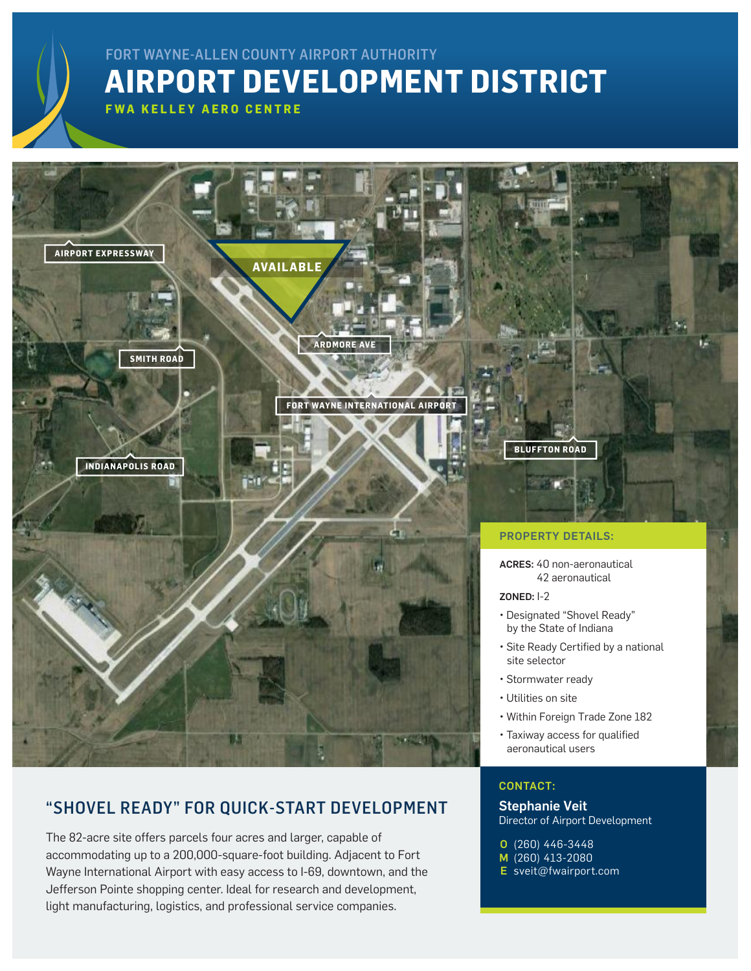## **AIRPORT DEVELOPMENT DISTRICT** FORT WAYNE-ALLEN COUNTY AIRPORT AUTHORITY

**FWA KELLEY AERO CENTRE**

**AIRPORT EXPRESSWAY**

**SMITH ROAD**

**INDIANAPOLIS ROAD**

**ARDMORE AVE**

**AVAILABLE**



**BLUFFTON ROAD**

## PROPERTY DETAILS:

ACRES: 40 non-aeronautical 42 aeronautical

## ZONED: I-2

- Designated "Shovel Ready" by the State of Indiana
- Site Ready Certified by a national site selector
- Stormwater ready
- Utilities on site
- Within Foreign Trade Zone 182
- Taxiway access for qualified aeronautical users

## CONTACT:

Stephanie Veit Director of Airport Development

- (260) 446-3448 O
- M (260) 413-2080
- E [sveit@fwairport.com](mailto:sveit%40fwairport.com?subject=)

## "SHOVEL READY" FOR QUICK-START DEVELOPMENT

The 82-acre site offers parcels four acres and larger, capable of accommodating up to a 200,000-square-foot building. Adjacent to Fort Wayne International Airport with easy access to I-69, downtown, and the Jefferson Pointe shopping center. Ideal for research and development, light manufacturing, logistics, and professional service companies.